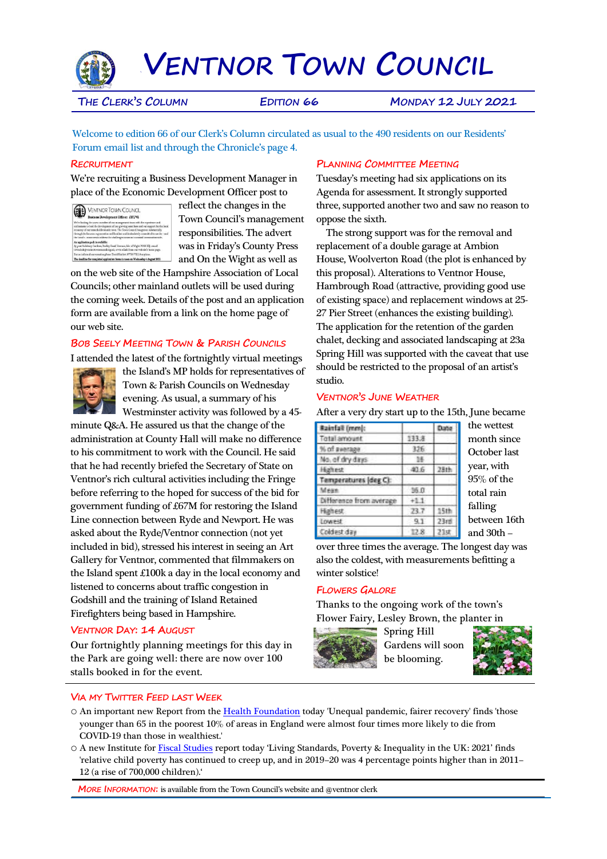

`**VENTNOR TOWN COUNCIL**

**THE CLERK'S COLUMN EDITION 66 MONDAY 12 JULY 2021**

Welcome to edition 66 of our Clerk's Column circulated as usual to the 490 residents on our Residents' Forum email list and through the Chronicle's page 4.

### **RECRUITMENT**

We're recruiting a Business Development Manager in place of the Economic Development Officer post to

**CONTROL TOWN COUNCIL** 

reflect the changes in the Town Council's management responsibilities. The advert was in Friday's County Press and On the Wight as well as

on the web site of the Hampshire Association of Local Councils; other mainland outlets will be used during the coming week. Details of the post and an application form are available from a link on the home page of our web site.

## **BOB SEELY MEETING TOWN & PARISH COUNCILS**

I attended the latest of the fortnightly virtual meetings



the Island's MP holds for representatives of Town & Parish Councils on Wednesday evening. As usual, a summary of his Westminster activity was followed by a 45-

minute Q&A. He assured us that the change of the administration at County Hall will make no difference to his commitment to work with the Council. He said that he had recently briefed the Secretary of State on Ventnor's rich cultural activities including the Fringe before referring to the hoped for success of the bid for government funding of £67M for restoring the Island Line connection between Ryde and Newport. He was asked about the Ryde/Ventnor connection (not yet included in bid), stressed his interest in seeing an Art Gallery for Ventnor, commented that filmmakers on the Island spent £100k a day in the local economy and listened to concerns about traffic congestion in Godshill and the training of Island Retained Firefighters being based in Hampshire.

## **VENTNOR DAY: 14 AUGUST**

Our fortnightly planning meetings for this day in the Park are going well: there are now over 100 stalls booked in for the event.

# **PLANNING COMMITTEE MEETING**

Tuesday's meeting had six applications on its Agenda for assessment. It strongly supported three, supported another two and saw no reason to oppose the sixth.

 The strong support was for the removal and replacement of a double garage at Ambion House, Woolverton Road (the plot is enhanced by this proposal). Alterations to Ventnor House, Hambrough Road (attractive, providing good use of existing space) and replacement windows at 25- 27 Pier Street (enhances the existing building). The application for the retention of the garden chalet, decking and associated landscaping at 23a Spring Hill was supported with the caveat that use should be restricted to the proposal of an artist's studio.

### **VENTNOR'S JUNE WEATHER**

After a very dry start up to the 15th, June became

| sainfall (mm):          |       | Date             |
|-------------------------|-------|------------------|
| Total amount            | 133.8 |                  |
| 6 of awa<br>1329        | 326   |                  |
| lo, of dry days         |       |                  |
| fighest                 | 40.6  |                  |
| mperatures (deg C):     |       |                  |
|                         | 36.0  |                  |
| Difference from average | $+11$ |                  |
| Highest.                | 73.7  | 15th             |
| <b>LOWEST</b>           | 9.1   | 23 <sub>rd</sub> |
| Coldest day             | 12.8  | 21st             |
|                         |       |                  |

the wettest month since October last year, with 95% of the total rain falling between 16th and 30th –

over three times the average. The longest day was also the coldest, with measurements befitting a winter solstice!

## **FLOWERS GALORE**

Thanks to the ongoing work of the town's Flower Fairy, Lesley Brown, the planter in



Spring Hill Gardens will soon be blooming.



## **VIA MY TWITTER FEED LAST WEEK**

- o An important new Report from the [Health Foundation](https://t.co/u8pi09ymgf) today 'Unequal pandemic, fairer recovery' finds 'those younger than 65 in the poorest 10% of areas in England were almost four times more likely to die from COVID-19 than those in wealthiest.'
- o A new Institute for [Fiscal Studies](https://t.co/oDgr0FpWj3) report today 'Living Standards, Poverty & Inequality in the UK: 2021' finds 'relative child poverty has continued to creep up, and in 2019–20 was 4 percentage points higher than in 2011– 12 (a rise of 700,000 children).'

**MORE INFORMATION:** is available from the Town Council's website and @ventnor clerk